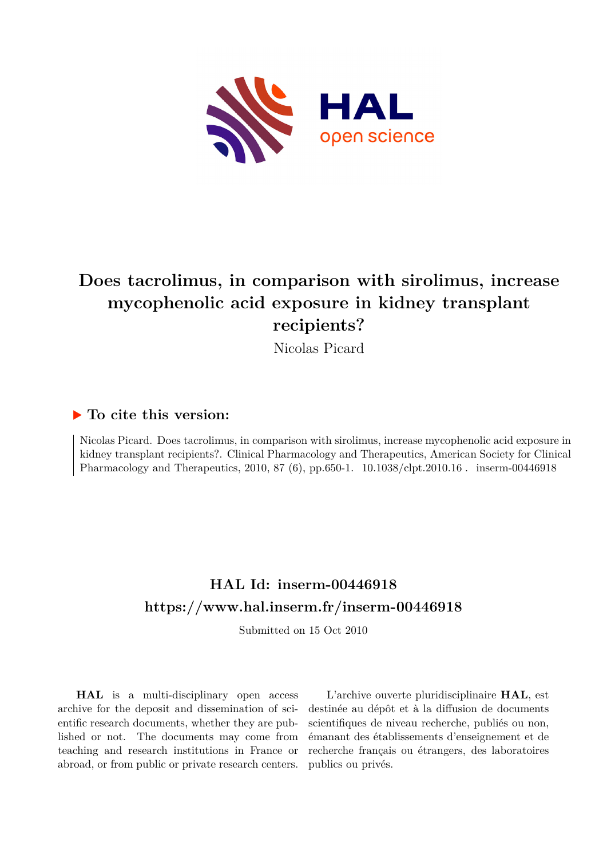

# **Does tacrolimus, in comparison with sirolimus, increase mycophenolic acid exposure in kidney transplant recipients?**

Nicolas Picard

### **To cite this version:**

Nicolas Picard. Does tacrolimus, in comparison with sirolimus, increase mycophenolic acid exposure in kidney transplant recipients?. Clinical Pharmacology and Therapeutics, American Society for Clinical Pharmacology and Therapeutics, 2010, 87 (6), pp.650-1. 10.1038/clpt.2010.16 cinserm-00446918

## **HAL Id: inserm-00446918 <https://www.hal.inserm.fr/inserm-00446918>**

Submitted on 15 Oct 2010

**HAL** is a multi-disciplinary open access archive for the deposit and dissemination of scientific research documents, whether they are published or not. The documents may come from teaching and research institutions in France or abroad, or from public or private research centers.

L'archive ouverte pluridisciplinaire **HAL**, est destinée au dépôt et à la diffusion de documents scientifiques de niveau recherche, publiés ou non, émanant des établissements d'enseignement et de recherche français ou étrangers, des laboratoires publics ou privés.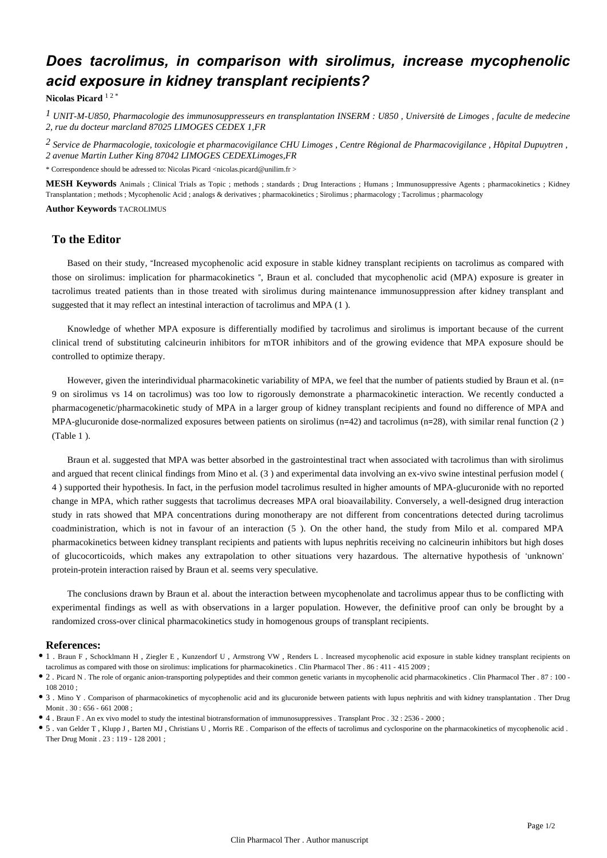### *Does tacrolimus, in comparison with sirolimus, increase mycophenolic acid exposure in kidney transplant recipients?*

**Nicolas Picard** 1 2 \*

*UNIT-M-U850, Pharmacologie des immunosuppresseurs en transplantation 1 INSERM : U850 , Universit*é *de Limoges , faculte de medecine 2, rue du docteur marcland 87025 LIMOGES CEDEX 1,FR*

*Service de Pharmacologie, toxicologie et pharmacovigilance 2 CHU Limoges , Centre R*é*gional de Pharmacovigilance , H*ô*pital Dupuytren , 2 avenue Martin Luther King 87042 LIMOGES CEDEXLimoges,FR*

\* Correspondence should be adressed to: Nicolas Picard <nicolas.picard@unilim.fr >

**MESH Keywords** Animals ; Clinical Trials as Topic ; methods ; standards ; Drug Interactions ; Humans ; Immunosuppressive Agents ; pharmacokinetics ; Kidney Transplantation ; methods ; Mycophenolic Acid ; analogs & derivatives ; pharmacokinetics ; Sirolimus ; pharmacology ; Tacrolimus ; pharmacology

**Author Keywords** TACROLIMUS

### **To the Editor**

Based on their study, "Increased mycophenolic acid exposure in stable kidney transplant recipients on tacrolimus as compared with those on sirolimus: implication for pharmacokinetics ", Braun et al. concluded that mycophenolic acid (MPA) exposure is greater in tacrolimus treated patients than in those treated with sirolimus during maintenance immunosuppression after kidney transplant and suggested that it may reflect an intestinal interaction of tacrolimus and MPA (1 ).

Knowledge of whether MPA exposure is differentially modified by tacrolimus and sirolimus is important because of the current clinical trend of substituting calcineurin inhibitors for mTOR inhibitors and of the growing evidence that MPA exposure should be controlled to optimize therapy.

However, given the interindividual pharmacokinetic variability of MPA, we feel that the number of patients studied by Braun et al. (n= 9 on sirolimus vs 14 on tacrolimus) was too low to rigorously demonstrate a pharmacokinetic interaction. We recently conducted a pharmacogenetic/pharmacokinetic study of MPA in a larger group of kidney transplant recipients and found no difference of MPA and MPA-glucuronide dose-normalized exposures between patients on sirolimus (n=42) and tacrolimus (n=28), with similar renal function (2 ) (Table 1 ).

Braun et al. suggested that MPA was better absorbed in the gastrointestinal tract when associated with tacrolimus than with sirolimus and argued that recent clinical findings from Mino et al. (3 ) and experimental data involving an ex-vivo swine intestinal perfusion model ( 4 ) supported their hypothesis. In fact, in the perfusion model tacrolimus resulted in higher amounts of MPA-glucuronide with no reported change in MPA, which rather suggests that tacrolimus decreases MPA oral bioavailability. Conversely, a well-designed drug interaction study in rats showed that MPA concentrations during monotherapy are not different from concentrations detected during tacrolimus coadministration, which is not in favour of an interaction (5 ). On the other hand, the study from Milo et al. compared MPA pharmacokinetics between kidney transplant recipients and patients with lupus nephritis receiving no calcineurin inhibitors but high doses of glucocorticoids, which makes any extrapolation to other situations very hazardous. The alternative hypothesis of 'unknown' protein-protein interaction raised by Braun et al. seems very speculative.

The conclusions drawn by Braun et al. about the interaction between mycophenolate and tacrolimus appear thus to be conflicting with experimental findings as well as with observations in a larger population. However, the definitive proof can only be brought by a randomized cross-over clinical pharmacokinetics study in homogenous groups of transplant recipients.

#### **References:**

- 1 . Braun F , Schocklmann H , Ziegler E , Kunzendorf U , Armstrong VW , Renders L . Increased mycophenolic acid exposure in stable kidney transplant recipients on tacrolimus as compared with those on sirolimus: implications for pharmacokinetics . Clin Pharmacol Ther . 86 : 411 - 415 2009 ;
- 2 . Picard N . The role of organic anion-transporting polypeptides and their common genetic variants in mycophenolic acid pharmacokinetics . Clin Pharmacol Ther . 87 : 100 108 2010 ;
- 3 . Mino Y . Comparison of pharmacokinetics of mycophenolic acid and its glucuronide between patients with lupus nephritis and with kidney transplantation . Ther Drug Monit . 30 : 656 - 661 2008 ;
- 4 . Braun F . An ex vivo model to study the intestinal biotransformation of immunosuppressives . Transplant Proc . 32 : 2536 2000 ;
- 5 . van Gelder T , Klupp J , Barten MJ , Christians U , Morris RE . Comparison of the effects of tacrolimus and cyclosporine on the pharmacokinetics of mycophenolic acid . Ther Drug Monit . 23 : 119 - 128 2001 ;